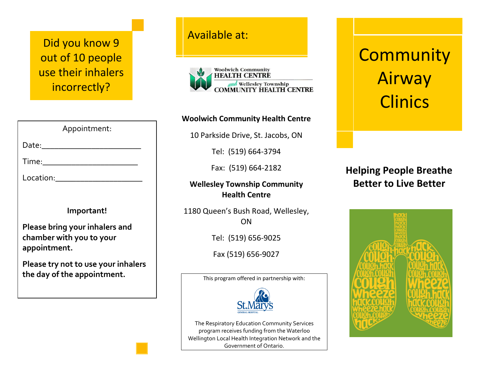Did you know 9 March 2014 Available at: out of 10 people use their inhalers incorrectly?

| Appointment:                                                               |  |
|----------------------------------------------------------------------------|--|
| Date:                                                                      |  |
| Time:                                                                      |  |
| Location:                                                                  |  |
|                                                                            |  |
| Important!                                                                 |  |
| Please bring your inhalers and<br>chamber with you to your<br>appointment. |  |
| Please try not to use your inhalers<br>the day of the appointment.         |  |
|                                                                            |  |



#### **Woolwich Community Health Centre**

10 Parkside Drive, St. Jacobs, ON

Tel: (519) 664-3794

Fax: (519) 664-2182

**Wellesley Township Community Health Centre**

1180 Queen's Bush Road, Wellesley, ON

Tel: (519) 656-9025

Fax (519) 656-9027

This program offered in partnership with:



The Respiratory Education Community Services program receives funding from the Waterloo Wellington Local Health Integration Network and the Government of Ontario.

# **Community** Airway **Clinics**

**Helping People Breathe Better to Live Better**